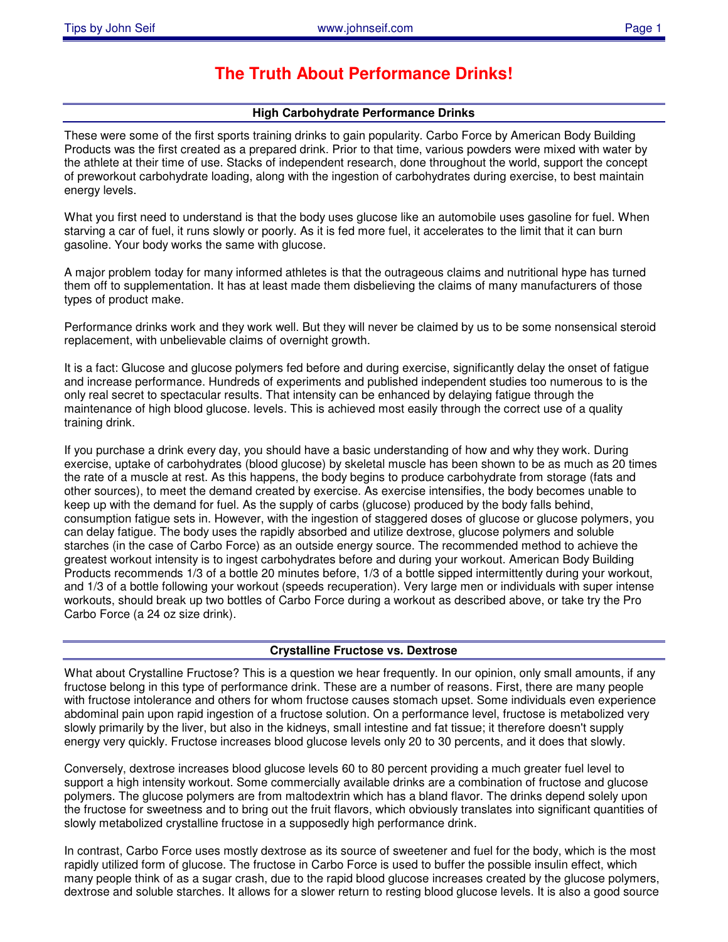# **The Truth About Performance Drinks!**

## **High Carbohydrate Performance Drinks**

These were some of the first sports training drinks to gain popularity. Carbo Force by American Body Building Products was the first created as a prepared drink. Prior to that time, various powders were mixed with water by the athlete at their time of use. Stacks of independent research, done throughout the world, support the concept of preworkout carbohydrate loading, along with the ingestion of carbohydrates during exercise, to best maintain energy levels.

What you first need to understand is that the body uses glucose like an automobile uses gasoline for fuel. When starving a car of fuel, it runs slowly or poorly. As it is fed more fuel, it accelerates to the limit that it can burn gasoline. Your body works the same with glucose.

A major problem today for many informed athletes is that the outrageous claims and nutritional hype has turned them off to supplementation. It has at least made them disbelieving the claims of many manufacturers of those types of product make.

Performance drinks work and they work well. But they will never be claimed by us to be some nonsensical steroid replacement, with unbelievable claims of overnight growth.

It is a fact: Glucose and glucose polymers fed before and during exercise, significantly delay the onset of fatigue and increase performance. Hundreds of experiments and published independent studies too numerous to is the only real secret to spectacular results. That intensity can be enhanced by delaying fatigue through the maintenance of high blood glucose. levels. This is achieved most easily through the correct use of a quality training drink.

If you purchase a drink every day, you should have a basic understanding of how and why they work. During exercise, uptake of carbohydrates (blood glucose) by skeletal muscle has been shown to be as much as 20 times the rate of a muscle at rest. As this happens, the body begins to produce carbohydrate from storage (fats and other sources), to meet the demand created by exercise. As exercise intensifies, the body becomes unable to keep up with the demand for fuel. As the supply of carbs (glucose) produced by the body falls behind, consumption fatigue sets in. However, with the ingestion of staggered doses of glucose or glucose polymers, you can delay fatigue. The body uses the rapidly absorbed and utilize dextrose, glucose polymers and soluble starches (in the case of Carbo Force) as an outside energy source. The recommended method to achieve the greatest workout intensity is to ingest carbohydrates before and during your workout. American Body Building Products recommends 1/3 of a bottle 20 minutes before, 1/3 of a bottle sipped intermittently during your workout, and 1/3 of a bottle following your workout (speeds recuperation). Very large men or individuals with super intense workouts, should break up two bottles of Carbo Force during a workout as described above, or take try the Pro Carbo Force (a 24 oz size drink).

### **Crystalline Fructose vs. Dextrose**

What about Crystalline Fructose? This is a question we hear frequently. In our opinion, only small amounts, if any fructose belong in this type of performance drink. These are a number of reasons. First, there are many people with fructose intolerance and others for whom fructose causes stomach upset. Some individuals even experience abdominal pain upon rapid ingestion of a fructose solution. On a performance level, fructose is metabolized very slowly primarily by the liver, but also in the kidneys, small intestine and fat tissue; it therefore doesn't supply energy very quickly. Fructose increases blood glucose levels only 20 to 30 percents, and it does that slowly.

Conversely, dextrose increases blood glucose levels 60 to 80 percent providing a much greater fuel level to support a high intensity workout. Some commercially available drinks are a combination of fructose and glucose polymers. The glucose polymers are from maltodextrin which has a bland flavor. The drinks depend solely upon the fructose for sweetness and to bring out the fruit flavors, which obviously translates into significant quantities of slowly metabolized crystalline fructose in a supposedly high performance drink.

In contrast, Carbo Force uses mostly dextrose as its source of sweetener and fuel for the body, which is the most rapidly utilized form of glucose. The fructose in Carbo Force is used to buffer the possible insulin effect, which many people think of as a sugar crash, due to the rapid blood glucose increases created by the glucose polymers, dextrose and soluble starches. It allows for a slower return to resting blood glucose levels. It is also a good source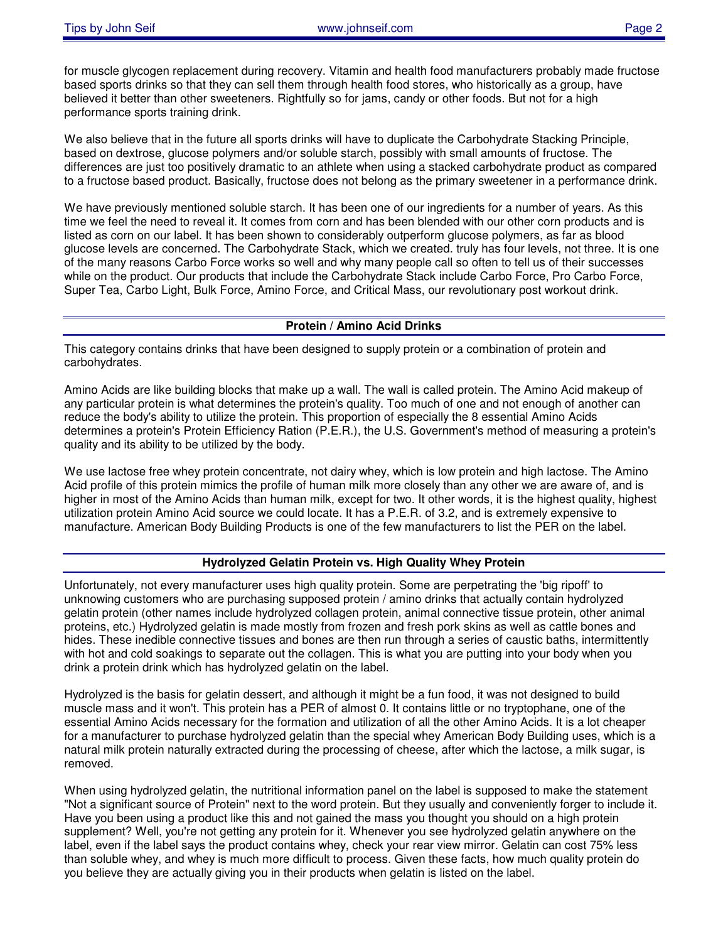for muscle glycogen replacement during recovery. Vitamin and health food manufacturers probably made fructose based sports drinks so that they can sell them through health food stores, who historically as a group, have believed it better than other sweeteners. Rightfully so for jams, candy or other foods. But not for a high performance sports training drink.

We also believe that in the future all sports drinks will have to duplicate the Carbohydrate Stacking Principle, based on dextrose, glucose polymers and/or soluble starch, possibly with small amounts of fructose. The differences are just too positively dramatic to an athlete when using a stacked carbohydrate product as compared to a fructose based product. Basically, fructose does not belong as the primary sweetener in a performance drink.

We have previously mentioned soluble starch. It has been one of our ingredients for a number of years. As this time we feel the need to reveal it. It comes from corn and has been blended with our other corn products and is listed as corn on our label. It has been shown to considerably outperform glucose polymers, as far as blood glucose levels are concerned. The Carbohydrate Stack, which we created. truly has four levels, not three. It is one of the many reasons Carbo Force works so well and why many people call so often to tell us of their successes while on the product. Our products that include the Carbohydrate Stack include Carbo Force, Pro Carbo Force, Super Tea, Carbo Light, Bulk Force, Amino Force, and Critical Mass, our revolutionary post workout drink.

#### **Protein / Amino Acid Drinks**

This category contains drinks that have been designed to supply protein or a combination of protein and carbohydrates.

Amino Acids are like building blocks that make up a wall. The wall is called protein. The Amino Acid makeup of any particular protein is what determines the protein's quality. Too much of one and not enough of another can reduce the body's ability to utilize the protein. This proportion of especially the 8 essential Amino Acids determines a protein's Protein Efficiency Ration (P.E.R.), the U.S. Government's method of measuring a protein's quality and its ability to be utilized by the body.

We use lactose free whey protein concentrate, not dairy whey, which is low protein and high lactose. The Amino Acid profile of this protein mimics the profile of human milk more closely than any other we are aware of, and is higher in most of the Amino Acids than human milk, except for two. It other words, it is the highest quality, highest utilization protein Amino Acid source we could locate. It has a P.E.R. of 3.2, and is extremely expensive to manufacture. American Body Building Products is one of the few manufacturers to list the PER on the label.

#### **Hydrolyzed Gelatin Protein vs. High Quality Whey Protein**

Unfortunately, not every manufacturer uses high quality protein. Some are perpetrating the 'big ripoff' to unknowing customers who are purchasing supposed protein / amino drinks that actually contain hydrolyzed gelatin protein (other names include hydrolyzed collagen protein, animal connective tissue protein, other animal proteins, etc.) Hydrolyzed gelatin is made mostly from frozen and fresh pork skins as well as cattle bones and hides. These inedible connective tissues and bones are then run through a series of caustic baths, intermittently with hot and cold soakings to separate out the collagen. This is what you are putting into your body when you drink a protein drink which has hydrolyzed gelatin on the label.

Hydrolyzed is the basis for gelatin dessert, and although it might be a fun food, it was not designed to build muscle mass and it won't. This protein has a PER of almost 0. It contains little or no tryptophane, one of the essential Amino Acids necessary for the formation and utilization of all the other Amino Acids. It is a lot cheaper for a manufacturer to purchase hydrolyzed gelatin than the special whey American Body Building uses, which is a natural milk protein naturally extracted during the processing of cheese, after which the lactose, a milk sugar, is removed.

When using hydrolyzed gelatin, the nutritional information panel on the label is supposed to make the statement "Not a significant source of Protein" next to the word protein. But they usually and conveniently forger to include it. Have you been using a product like this and not gained the mass you thought you should on a high protein supplement? Well, you're not getting any protein for it. Whenever you see hydrolyzed gelatin anywhere on the label, even if the label says the product contains whey, check your rear view mirror. Gelatin can cost 75% less than soluble whey, and whey is much more difficult to process. Given these facts, how much quality protein do you believe they are actually giving you in their products when gelatin is listed on the label.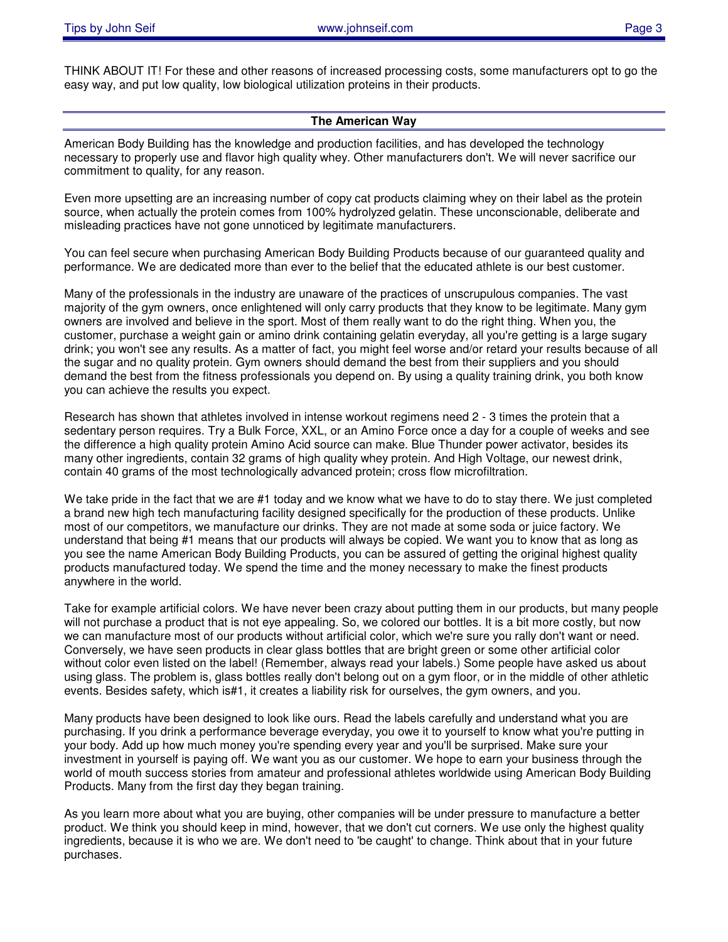THINK ABOUT IT! For these and other reasons of increased processing costs, some manufacturers opt to go the easy way, and put low quality, low biological utilization proteins in their products.

#### **The American Way**

American Body Building has the knowledge and production facilities, and has developed the technology necessary to properly use and flavor high quality whey. Other manufacturers don't. We will never sacrifice our commitment to quality, for any reason.

Even more upsetting are an increasing number of copy cat products claiming whey on their label as the protein source, when actually the protein comes from 100% hydrolyzed gelatin. These unconscionable, deliberate and misleading practices have not gone unnoticed by legitimate manufacturers.

You can feel secure when purchasing American Body Building Products because of our guaranteed quality and performance. We are dedicated more than ever to the belief that the educated athlete is our best customer.

Many of the professionals in the industry are unaware of the practices of unscrupulous companies. The vast majority of the gym owners, once enlightened will only carry products that they know to be legitimate. Many gym owners are involved and believe in the sport. Most of them really want to do the right thing. When you, the customer, purchase a weight gain or amino drink containing gelatin everyday, all you're getting is a large sugary drink; you won't see any results. As a matter of fact, you might feel worse and/or retard your results because of all the sugar and no quality protein. Gym owners should demand the best from their suppliers and you should demand the best from the fitness professionals you depend on. By using a quality training drink, you both know you can achieve the results you expect.

Research has shown that athletes involved in intense workout regimens need 2 - 3 times the protein that a sedentary person requires. Try a Bulk Force, XXL, or an Amino Force once a day for a couple of weeks and see the difference a high quality protein Amino Acid source can make. Blue Thunder power activator, besides its many other ingredients, contain 32 grams of high quality whey protein. And High Voltage, our newest drink, contain 40 grams of the most technologically advanced protein; cross flow microfiltration.

We take pride in the fact that we are #1 today and we know what we have to do to stay there. We just completed a brand new high tech manufacturing facility designed specifically for the production of these products. Unlike most of our competitors, we manufacture our drinks. They are not made at some soda or juice factory. We understand that being #1 means that our products will always be copied. We want you to know that as long as you see the name American Body Building Products, you can be assured of getting the original highest quality products manufactured today. We spend the time and the money necessary to make the finest products anywhere in the world.

Take for example artificial colors. We have never been crazy about putting them in our products, but many people will not purchase a product that is not eye appealing. So, we colored our bottles. It is a bit more costly, but now we can manufacture most of our products without artificial color, which we're sure you rally don't want or need. Conversely, we have seen products in clear glass bottles that are bright green or some other artificial color without color even listed on the label! (Remember, always read your labels.) Some people have asked us about using glass. The problem is, glass bottles really don't belong out on a gym floor, or in the middle of other athletic events. Besides safety, which is#1, it creates a liability risk for ourselves, the gym owners, and you.

Many products have been designed to look like ours. Read the labels carefully and understand what you are purchasing. If you drink a performance beverage everyday, you owe it to yourself to know what you're putting in your body. Add up how much money you're spending every year and you'll be surprised. Make sure your investment in yourself is paying off. We want you as our customer. We hope to earn your business through the world of mouth success stories from amateur and professional athletes worldwide using American Body Building Products. Many from the first day they began training.

As you learn more about what you are buying, other companies will be under pressure to manufacture a better product. We think you should keep in mind, however, that we don't cut corners. We use only the highest quality ingredients, because it is who we are. We don't need to 'be caught' to change. Think about that in your future purchases.